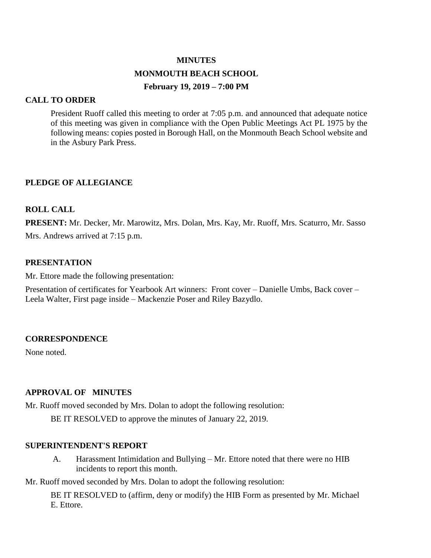# **MINUTES MONMOUTH BEACH SCHOOL February 19, 2019 – 7:00 PM**

# **CALL TO ORDER**

President Ruoff called this meeting to order at 7:05 p.m. and announced that adequate notice of this meeting was given in compliance with the Open Public Meetings Act PL 1975 by the following means: copies posted in Borough Hall, on the Monmouth Beach School website and in the Asbury Park Press.

# **PLEDGE OF ALLEGIANCE**

# **ROLL CALL**

**PRESENT:** Mr. Decker, Mr. Marowitz, Mrs. Dolan, Mrs. Kay, Mr. Ruoff, Mrs. Scaturro, Mr. Sasso Mrs. Andrews arrived at 7:15 p.m.

# **PRESENTATION**

Mr. Ettore made the following presentation:

Presentation of certificates for Yearbook Art winners: Front cover – Danielle Umbs, Back cover – Leela Walter, First page inside – Mackenzie Poser and Riley Bazydlo.

# **CORRESPONDENCE**

None noted.

# **APPROVAL OF MINUTES**

Mr. Ruoff moved seconded by Mrs. Dolan to adopt the following resolution:

BE IT RESOLVED to approve the minutes of January 22, 2019.

# **SUPERINTENDENT'S REPORT**

A. Harassment Intimidation and Bullying – Mr. Ettore noted that there were no HIB incidents to report this month.

Mr. Ruoff moved seconded by Mrs. Dolan to adopt the following resolution:

BE IT RESOLVED to (affirm, deny or modify) the HIB Form as presented by Mr. Michael E. Ettore.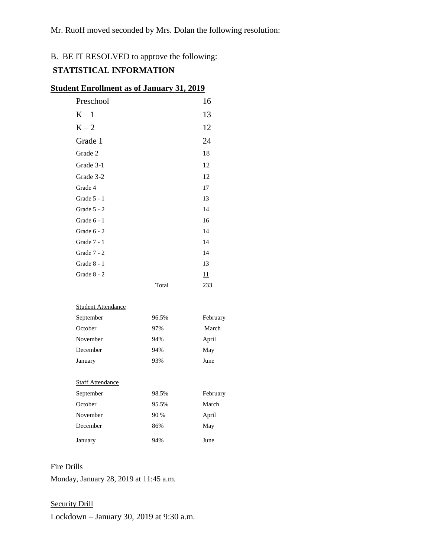# B. BE IT RESOLVED to approve the following:

# **STATISTICAL INFORMATION**

| <u>dent Enrollment as of January 31, 2019</u> |       |     |
|-----------------------------------------------|-------|-----|
| Preschool                                     |       | 16  |
| $K-1$                                         |       | 13  |
| $K - 2$                                       |       | 12  |
| Grade 1                                       |       | 24  |
| Grade 2                                       |       | 18  |
| Grade 3-1                                     |       | 12  |
| Grade 3-2                                     |       | 12  |
| Grade 4                                       |       | 17  |
| Grade $5 - 1$                                 |       | 13  |
| Grade $5 - 2$                                 |       | 14  |
| Grade 6 - 1                                   |       | 16  |
| Grade 6 - 2                                   |       | 14  |
| Grade 7 - 1                                   |       | 14  |
| Grade 7 - 2                                   |       | 14  |
| Grade 8 - 1                                   |       | 13  |
| Grade 8 - 2                                   |       | 11  |
|                                               | Total | 233 |
|                                               |       |     |

# **Student Enrollment as of January 31, 2019**

|  | Student Attendance |  |
|--|--------------------|--|
|  |                    |  |

| September               | 96.5% | February |
|-------------------------|-------|----------|
| October                 | 97%   | March    |
| November                | 94%   | April    |
| December                | 94%   | May      |
| January                 | 93%   | June     |
|                         |       |          |
| <b>Staff Attendance</b> |       |          |
| September               | 98.5% | February |
| October                 | 95.5% | March    |
| November                | 90 %  | April    |
| December                | 86%   | May      |
| January                 | 94%   | June     |

# Fire Drills

Monday, January 28, 2019 at 11:45 a.m.

# Security Drill

Lockdown – January 30, 2019 at 9:30 a.m.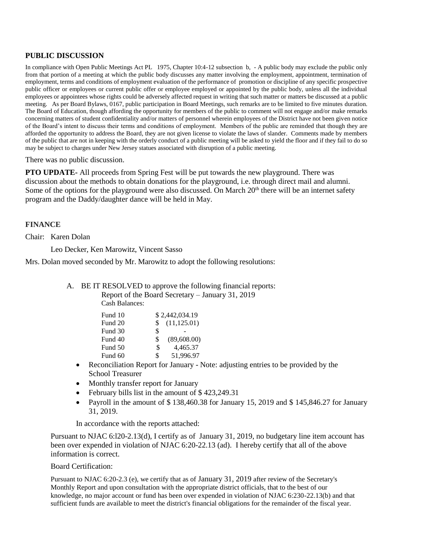#### **PUBLIC DISCUSSION**

In compliance with Open Public Meetings Act PL 1975, Chapter 10:4-12 subsection b, - A public body may exclude the public only from that portion of a meeting at which the public body discusses any matter involving the employment, appointment, termination of employment, terms and conditions of employment evaluation of the performance of promotion or discipline of any specific prospective public officer or employees or current public offer or employee employed or appointed by the public body, unless all the individual employees or appointees whose rights could be adversely affected request in writing that such matter or matters be discussed at a public meeting. As per Board Bylaws, 0167, public participation in Board Meetings, such remarks are to be limited to five minutes duration. The Board of Education, though affording the opportunity for members of the public to comment will not engage and/or make remarks concerning matters of student confidentiality and/or matters of personnel wherein employees of the District have not been given notice of the Board's intent to discuss their terms and conditions of employment. Members of the public are reminded that though they are afforded the opportunity to address the Board, they are not given license to violate the laws of slander. Comments made by members of the public that are not in keeping with the orderly conduct of a public meeting will be asked to yield the floor and if they fail to do so may be subject to charges under New Jersey statues associated with disruption of a public meeting.

There was no public discussion.

**PTO UPDATE-** All proceeds from Spring Fest will be put towards the new playground. There was discussion about the methods to obtain donations for the playground, i.e. through direct mail and alumni. Some of the options for the playground were also discussed. On March  $20<sup>th</sup>$  there will be an internet safety program and the Daddy/daughter dance will be held in May.

#### **FINANCE**

Chair: Karen Dolan

Leo Decker, Ken Marowitz, Vincent Sasso

Mrs. Dolan moved seconded by Mr. Marowitz to adopt the following resolutions:

#### A. BE IT RESOLVED to approve the following financial reports: Report of the Board Secretary – January 31, 2019 Cash Balances:

| Fund 10 | \$2,442,034.19      |             |
|---------|---------------------|-------------|
| Fund 20 | (11, 125.01)<br>\$. |             |
| Fund 30 | \$                  |             |
| Fund 40 | \$                  | (89,608.00) |
| Fund 50 | \$                  | 4,465.37    |
| Fund 60 | \$                  | 51,996.97   |

- Reconciliation Report for January Note: adjusting entries to be provided by the School Treasurer
- Monthly transfer report for January
- February bills list in the amount of \$423,249.31
- Payroll in the amount of \$138,460.38 for January 15, 2019 and \$145,846.27 for January 31, 2019.

In accordance with the reports attached:

Pursuant to NJAC 6:l20-2.13(d), I certify as of January 31, 2019, no budgetary line item account has been over expended in violation of NJAC 6:20-22.13 (ad). I hereby certify that all of the above information is correct.

#### Board Certification:

Pursuant to NJAC 6:20-2.3 (e), we certify that as of January 31, 2019 after review of the Secretary's Monthly Report and upon consultation with the appropriate district officials, that to the best of our knowledge, no major account or fund has been over expended in violation of NJAC 6:230-22.13(b) and that sufficient funds are available to meet the district's financial obligations for the remainder of the fiscal year.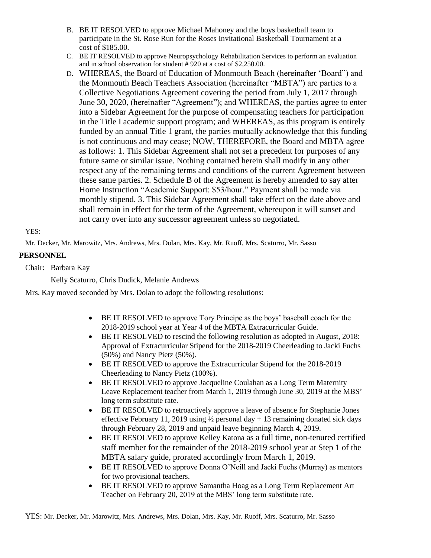- B. BE IT RESOLVED to approve Michael Mahoney and the boys basketball team to participate in the St. Rose Run for the Roses Invitational Basketball Tournament at a cost of \$185.00.
- C. BE IT RESOLVED to approve Neuropsychology Rehabilitation Services to perform an evaluation and in school observation for student # 920 at a cost of \$2,250.00.
- D. WHEREAS, the Board of Education of Monmouth Beach (hereinafter 'Board") and the Monmouth Beach Teachers Association (hereinafter "MBTA") are parties to a Collective Negotiations Agreement covering the period from July 1, 2017 through June 30, 2020, (hereinafter "Agreement"); and WHEREAS, the parties agree to enter into a Sidebar Agreement for the purpose of compensating teachers for participation in the Title I academic support program; and WHEREAS, as this program is entirely funded by an annual Title 1 grant, the parties mutually acknowledge that this funding is not continuous and may cease; NOW, THEREFORE, the Board and MBTA agree as follows: 1. This Sidebar Agreement shall not set a precedent for purposes of any future same or similar issue. Nothing contained herein shall modify in any other respect any of the remaining terms and conditions of the current Agreement between these same parties. 2. Schedule B of the Agreement is hereby amended to say after Home Instruction "Academic Support: \$53/hour." Payment shall be made via monthly stipend. 3. This Sidebar Agreement shall take effect on the date above and shall remain in effect for the term of the Agreement, whereupon it will sunset and not carry over into any successor agreement unless so negotiated.

YES:

Mr. Decker, Mr. Marowitz, Mrs. Andrews, Mrs. Dolan, Mrs. Kay, Mr. Ruoff, Mrs. Scaturro, Mr. Sasso

# **PERSONNEL**

Chair: Barbara Kay

Kelly Scaturro, Chris Dudick, Melanie Andrews

Mrs. Kay moved seconded by Mrs. Dolan to adopt the following resolutions:

- BE IT RESOLVED to approve Tory Principe as the boys' baseball coach for the 2018-2019 school year at Year 4 of the MBTA Extracurricular Guide.
- BE IT RESOLVED to rescind the following resolution as adopted in August, 2018: Approval of Extracurricular Stipend for the 2018-2019 Cheerleading to Jacki Fuchs (50%) and Nancy Pietz (50%).
- BE IT RESOLVED to approve the Extracurricular Stipend for the 2018-2019 Cheerleading to Nancy Pietz (100%).
- BE IT RESOLVED to approve Jacqueline Coulahan as a Long Term Maternity Leave Replacement teacher from March 1, 2019 through June 30, 2019 at the MBS' long term substitute rate.
- BE IT RESOLVED to retroactively approve a leave of absence for Stephanie Jones effective February 11, 2019 using  $\frac{1}{2}$  personal day + 13 remaining donated sick days through February 28, 2019 and unpaid leave beginning March 4, 2019.
- BE IT RESOLVED to approve Kelley Katona as a full time, non-tenured certified staff member for the remainder of the 2018-2019 school year at Step 1 of the MBTA salary guide, prorated accordingly from March 1, 2019.
- BE IT RESOLVED to approve Donna O'Neill and Jacki Fuchs (Murray) as mentors for two provisional teachers.
- BE IT RESOLVED to approve Samantha Hoag as a Long Term Replacement Art Teacher on February 20, 2019 at the MBS' long term substitute rate.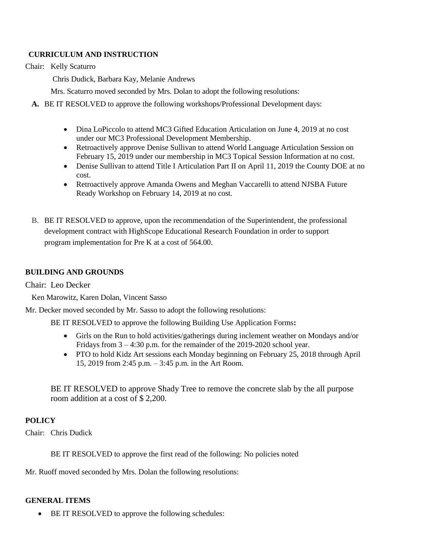# **CURRICULUM AND INSTRUCTION**

Chair: Kelly Scaturro

Chris Dudick, Barbara Kay, Melanie Andrews

Mrs. Scaturro moved seconded by Mrs. Dolan to adopt the following resolutions:

- **A.** BE IT RESOLVED to approve the following workshops/Professional Development days:
	- Dina LoPiccolo to attend MC3 Gifted Education Articulation on June 4, 2019 at no cost under our MC3 Professional Development Membership.
	- Retroactively approve Denise Sullivan to attend World Language Articulation Session on February 15, 2019 under our membership in MC3 Topical Session Information at no cost.
	- Denise Sullivan to attend Title I Articulation Part II on April 11, 2019 the County DOE at no cost.
	- Retroactively approve Amanda Owens and Meghan Vaccarelli to attend NJSBA Future Ready Workshop on February 14, 2019 at no cost.
- B. BE IT RESOLVED to approve, upon the recommendation of the Superintendent, the professional development contract with HighScope Educational Research Foundation in order to support program implementation for Pre K at a cost of 564.00.

#### **BUILDING AND GROUNDS**

Chair: Leo Decker

Ken Marowitz, Karen Dolan, Vincent Sasso

Mr. Decker moved seconded by Mr. Sasso to adopt the following resolutions:

BE IT RESOLVED to approve the following Building Use Application Forms**:** 

- Girls on the Run to hold activities/gatherings during inclement weather on Mondays and/or Fridays from 3 – 4:30 p.m. for the remainder of the 2019-2020 school year.
- PTO to hold Kidz Art sessions each Monday beginning on February 25, 2018 through April 15, 2019 from 2:45 p.m. – 3:45 p.m. in the Art Room.

BE IT RESOLVED to approve Shady Tree to remove the concrete slab by the all purpose room addition at a cost of \$ 2,200.

# **POLICY**

Chair: Chris Dudick

BE IT RESOLVED to approve the first read of the following: No policies noted

Mr. Ruoff moved seconded by Mrs. Dolan the following resolutions:

#### **GENERAL ITEMS**

• BE IT RESOLVED to approve the following schedules: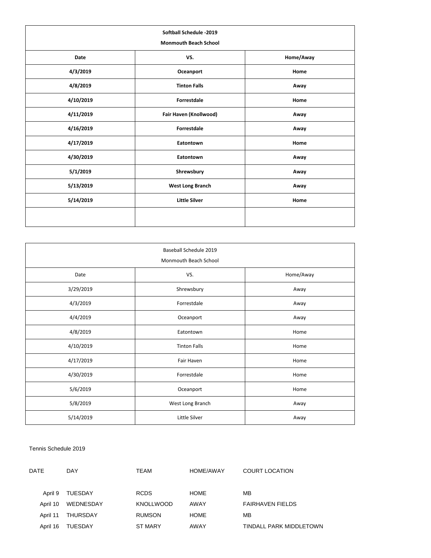| Softball Schedule -2019<br><b>Monmouth Beach School</b> |                         |           |  |
|---------------------------------------------------------|-------------------------|-----------|--|
| Date                                                    | VS.                     | Home/Away |  |
| 4/3/2019                                                | Oceanport               | Home      |  |
| 4/8/2019                                                | <b>Tinton Falls</b>     | Away      |  |
| 4/10/2019                                               | <b>Forrestdale</b>      | Home      |  |
| 4/11/2019                                               | Fair Haven (Knollwood)  | Away      |  |
| 4/16/2019                                               | <b>Forrestdale</b>      | Away      |  |
| 4/17/2019                                               | Eatontown               | Home      |  |
| 4/30/2019                                               | Eatontown               | Away      |  |
| 5/1/2019                                                | Shrewsbury              | Away      |  |
| 5/13/2019                                               | <b>West Long Branch</b> | Away      |  |
| 5/14/2019                                               | <b>Little Silver</b>    | Home      |  |
|                                                         |                         |           |  |

| Baseball Schedule 2019<br>Monmouth Beach School |                     |           |
|-------------------------------------------------|---------------------|-----------|
| Date                                            | VS.                 | Home/Away |
| 3/29/2019                                       | Shrewsbury          | Away      |
| 4/3/2019                                        | Forrestdale         | Away      |
| 4/4/2019                                        | Oceanport           | Away      |
| 4/8/2019                                        | Eatontown           | Home      |
| 4/10/2019                                       | <b>Tinton Falls</b> | Home      |
| 4/17/2019                                       | Fair Haven          | Home      |
| 4/30/2019                                       | Forrestdale         | Home      |
| 5/6/2019                                        | Oceanport           | Home      |
| 5/8/2019                                        | West Long Branch    | Away      |
| 5/14/2019                                       | Little Silver       | Away      |

#### Tennis Schedule 2019

| DATE     | <b>DAY</b>     | TEAM             | HOME/AWAY   | COURT LOCATION          |
|----------|----------------|------------------|-------------|-------------------------|
| April 9  | <b>TUESDAY</b> | <b>RCDS</b>      | <b>HOME</b> | MВ                      |
| April 10 | WEDNESDAY      | <b>KNOLLWOOD</b> | AWAY        | <b>FAIRHAVEN FIELDS</b> |
| April 11 | THURSDAY       | <b>RUMSON</b>    | <b>HOME</b> | MB                      |
| April 16 | <b>TUESDAY</b> | <b>ST MARY</b>   | AWAY        | TINDALL PARK MIDDLETOWN |